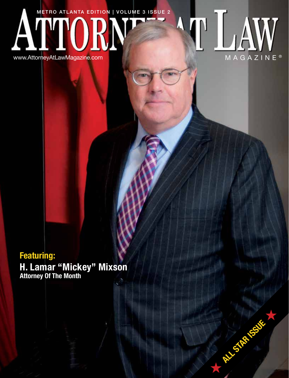# METRO ATLANTA EDITION | VOLUME 3 ISSUE 2 Ŋ V

www.AttorneyAtLawMagazine.com



**ALL STAR ISSUE** 

# **Featuring:**

**H. Lamar "Mickey" Mixson Attorney Of The Month**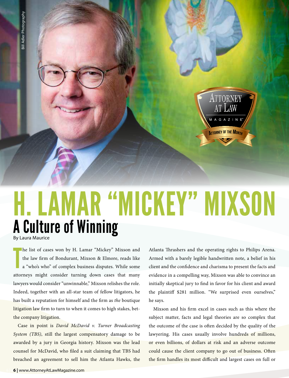# A Culture of Winning By Laura Maurice H. LAMAR "MICKEY" MIXSON

T he list of cases won by H. Lamar "Mickey" Mixson and the law firm of Bondurant, Mixson & Elmore, reads like a "who's who" of complex business disputes. While some attorneys might consider turning down cases that many lawyers would consider "unwinnable," Mixson relishes the role. Indeed, together with an all-star team of fellow litigators, he has built a reputation for himself and the firm as *the* boutique litigation law firm to turn to when it comes to high stakes, betthe company litigation.

Case in point is *David McDavid v. Turner Broadcasting System (TBS)*, still the largest compensatory damage to be awarded by a jury in Georgia history. Mixson was the lead counsel for McDavid, who filed a suit claiming that TBS had breached an agreement to sell him the Atlanta Hawks, the Atlanta Thrashers and the operating rights to Philips Arena. Armed with a barely legible handwritten note, a belief in his client and the confidence and charisma to present the facts and evidence in a compelling way, Mixson was able to convince an initially skeptical jury to find in favor for his client and award the plaintiff \$281 million. "We surprised even ourselves," he says.

**ATTORNEY OF THE MONTH** 

Mixson and his firm excel in cases such as this where the subject matter, facts and legal theories are so complex that the outcome of the case is often decided by the quality of the lawyering. His cases usually involve hundreds of millions, or even billions, of dollars at risk and an adverse outcome could cause the client company to go out of business. Often the firm handles its most difficult and largest cases on full or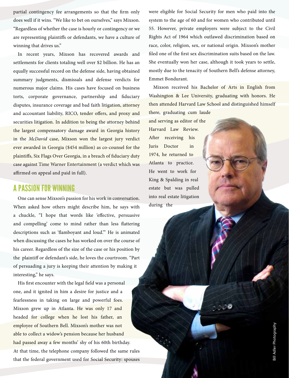partial contingency fee arrangements so that the firm only does well if it wins. "We like to bet on ourselves," says Mixson. "Regardless of whether the case is hourly or contingency or we are representing plaintiffs or defendants, we have a culture of winning that drives us."

In recent years, Mixson has recovered awards and settlements for clients totaling well over \$2 billion. He has an equally successful record on the defense side, having obtained summary judgments, dismissals and defense verdicts for numerous major claims. His cases have focused on business torts, corporate governance, partnership and fiduciary disputes, insurance coverage and bad faith litigation, attorney and accountant liability, RICO, tender offers, and proxy and securities litigation. In addition to being the attorney behind the largest compensatory damage award in Georgia history in the *McDavid* case, Mixson won the largest jury verdict ever awarded in Georgia (\$454 million) as co-counsel for the plaintiffs, Six Flags Over Georgia, in a breach of fiduciary duty case against Time Warner Entertainment (a verdict which was affirmed on appeal and paid in full).

## A PASSION FOR WINNING

One can sense Mixson's passion for his work in conversation. When asked how others might describe him, he says with a chuckle, "I hope that words like 'effective, persuasive and compelling' come to mind rather than less flattering descriptions such as 'flamboyant and loud.'" He is animated when discussing the cases he has worked on over the course of his career. Regardless of the size of the case or his position by the plaintiff or defendant's side, he loves the courtroom. "Part of persuading a jury is keeping their attention by making it interesting," he says.

His first encounter with the legal field was a personal one, and it ignited in him a desire for justice and a fearlessness in taking on large and powerful foes. Mixson grew up in Atlanta. He was only 17 and headed for college when he lost his father, an employee of Southern Bell. Mixson's mother was not able to collect a widow's pension because her husband had passed away a few months' shy of his 60th birthday. At that time, the telephone company followed the same rules that the federal government used for Social Security: spouses were eligible for Social Security for men who paid into the system to the age of 60 and for women who contributed until 55. However, private employers were subject to the Civil Rights Act of 1964 which outlawed discrimination based on race, color, religion, sex, or national origin. Mixson's mother filed one of the first sex discrimination suits based on the law. She eventually won her case, although it took years to settle, mostly due to the tenacity of Southern Bell's defense attorney, Emmet Bondurant.

Mixson received his Bachelor of Arts in English from Washington & Lee University, graduating with honors. He then attended Harvard Law School and distinguished himself

there, graduating cum laude and serving as editor of the Harvard Law Review. After receiving his Juris Doctor in 1974, he returned to Atlanta to practice. He went to work for King & Spalding in real estate but was pulled into real estate litigation during the